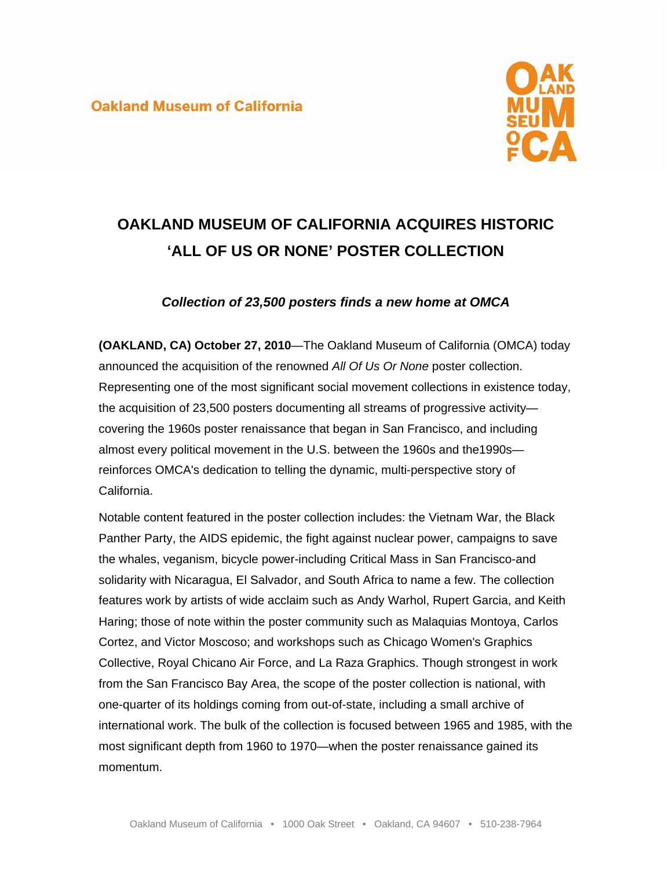## **Oakland Museum of California**



# **OAKLAND MUSEUM OF CALIFORNIA ACQUIRES HISTORIC 'ALL OF US OR NONE' POSTER COLLECTION**

## *Collection of 23,500 posters finds a new home at OMCA*

**(OAKLAND, CA) October 27, 2010**—The Oakland Museum of California (OMCA) today announced the acquisition of the renowned *All Of Us Or None* poster collection. Representing one of the most significant social movement collections in existence today, the acquisition of 23,500 posters documenting all streams of progressive activity covering the 1960s poster renaissance that began in San Francisco, and including almost every political movement in the U.S. between the 1960s and the1990s reinforces OMCA's dedication to telling the dynamic, multi-perspective story of California.

Notable content featured in the poster collection includes: the Vietnam War, the Black Panther Party, the AIDS epidemic, the fight against nuclear power, campaigns to save the whales, veganism, bicycle power-including Critical Mass in San Francisco-and solidarity with Nicaragua, El Salvador, and South Africa to name a few. The collection features work by artists of wide acclaim such as Andy Warhol, Rupert Garcia, and Keith Haring; those of note within the poster community such as Malaquias Montoya, Carlos Cortez, and Victor Moscoso; and workshops such as Chicago Women's Graphics Collective, Royal Chicano Air Force, and La Raza Graphics. Though strongest in work from the San Francisco Bay Area, the scope of the poster collection is national, with one-quarter of its holdings coming from out-of-state, including a small archive of international work. The bulk of the collection is focused between 1965 and 1985, with the most significant depth from 1960 to 1970—when the poster renaissance gained its momentum.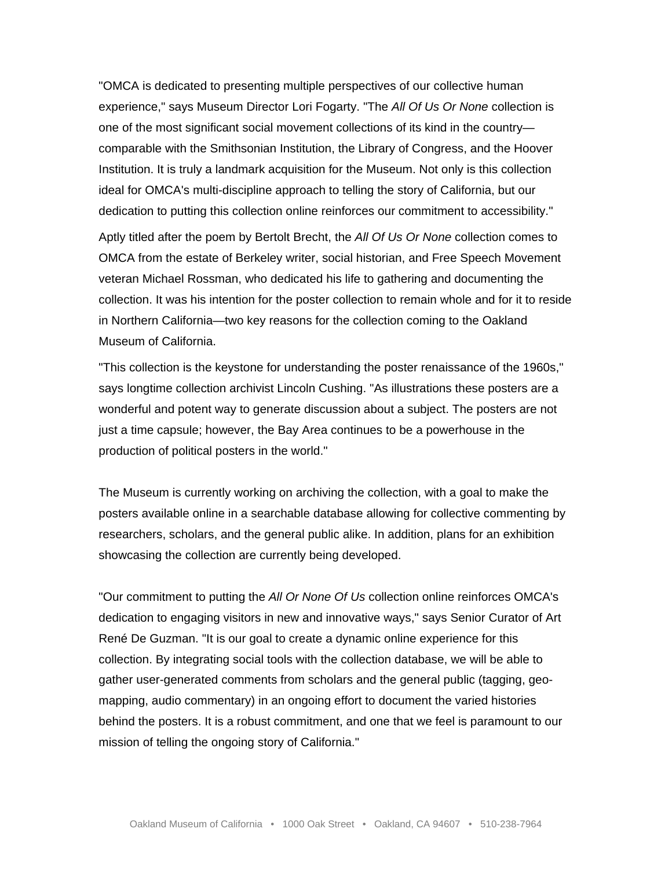"OMCA is dedicated to presenting multiple perspectives of our collective human experience," says Museum Director Lori Fogarty. "The *All Of Us Or None* collection is one of the most significant social movement collections of its kind in the country comparable with the Smithsonian Institution, the Library of Congress, and the Hoover Institution. It is truly a landmark acquisition for the Museum. Not only is this collection ideal for OMCA's multi-discipline approach to telling the story of California, but our dedication to putting this collection online reinforces our commitment to accessibility."

Aptly titled after the poem by Bertolt Brecht, the *All Of Us Or None* collection comes to OMCA from the estate of Berkeley writer, social historian, and Free Speech Movement veteran Michael Rossman, who dedicated his life to gathering and documenting the collection. It was his intention for the poster collection to remain whole and for it to reside in Northern California—two key reasons for the collection coming to the Oakland Museum of California.

"This collection is the keystone for understanding the poster renaissance of the 1960s," says longtime collection archivist Lincoln Cushing. "As illustrations these posters are a wonderful and potent way to generate discussion about a subject. The posters are not just a time capsule; however, the Bay Area continues to be a powerhouse in the production of political posters in the world."

The Museum is currently working on archiving the collection, with a goal to make the posters available online in a searchable database allowing for collective commenting by researchers, scholars, and the general public alike. In addition, plans for an exhibition showcasing the collection are currently being developed.

"Our commitment to putting the *All Or None Of Us* collection online reinforces OMCA's dedication to engaging visitors in new and innovative ways," says Senior Curator of Art René De Guzman. "It is our goal to create a dynamic online experience for this collection. By integrating social tools with the collection database, we will be able to gather user-generated comments from scholars and the general public (tagging, geomapping, audio commentary) in an ongoing effort to document the varied histories behind the posters. It is a robust commitment, and one that we feel is paramount to our mission of telling the ongoing story of California."